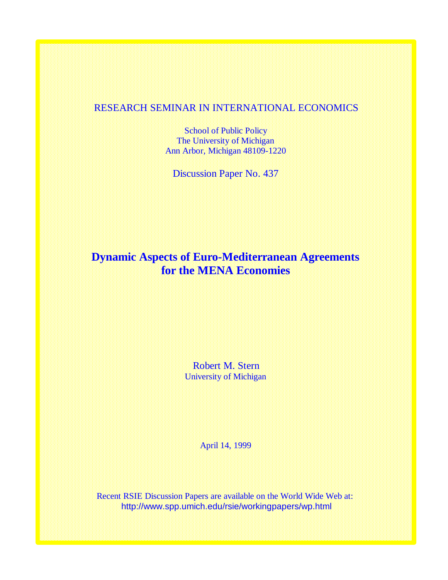# RESEARCH SEMINAR IN INTERNATIONAL ECONOMICS

School of Public Policy The University of Michigan Ann Arbor, Michigan 48109-1220

Discussion Paper No. 437

# **Dynamic Aspects of Euro-Mediterranean Agreements for the MENA Economies**

Robert M. Stern University of Michigan

April 14, 1999

Recent RSIE Discussion Papers are available on the World Wide Web at: http://www.spp.umich.edu/rsie/workingpapers/wp.html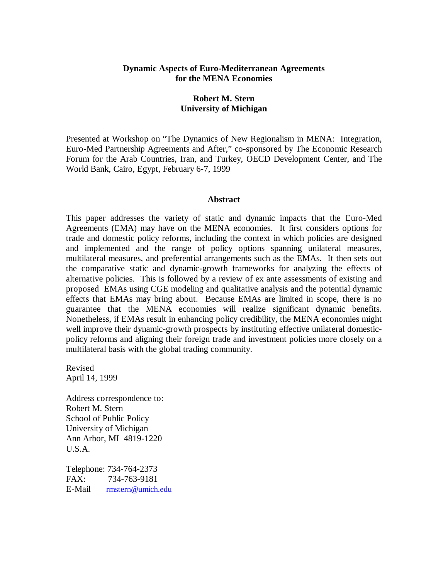# **Dynamic Aspects of Euro-Mediterranean Agreements for the MENA Economies**

# **Robert M. Stern University of Michigan**

Presented at Workshop on "The Dynamics of New Regionalism in MENA: Integration, Euro-Med Partnership Agreements and After," co-sponsored by The Economic Research Forum for the Arab Countries, Iran, and Turkey, OECD Development Center, and The World Bank, Cairo, Egypt, February 6-7, 1999

# **Abstract**

This paper addresses the variety of static and dynamic impacts that the Euro-Med Agreements (EMA) may have on the MENA economies. It first considers options for trade and domestic policy reforms, including the context in which policies are designed and implemented and the range of policy options spanning unilateral measures, multilateral measures, and preferential arrangements such as the EMAs. It then sets out the comparative static and dynamic-growth frameworks for analyzing the effects of alternative policies. This is followed by a review of ex ante assessments of existing and proposed EMAs using CGE modeling and qualitative analysis and the potential dynamic effects that EMAs may bring about. Because EMAs are limited in scope, there is no guarantee that the MENA economies will realize significant dynamic benefits. Nonetheless, if EMAs result in enhancing policy credibility, the MENA economies might well improve their dynamic-growth prospects by instituting effective unilateral domesticpolicy reforms and aligning their foreign trade and investment policies more closely on a multilateral basis with the global trading community.

Revised April 14, 1999

Address correspondence to: Robert M. Stern School of Public Policy University of Michigan Ann Arbor, MI 4819-1220 U.S.A.

Telephone: 734-764-2373 FAX: 734-763-9181 E-Mail rmstern@umich.edu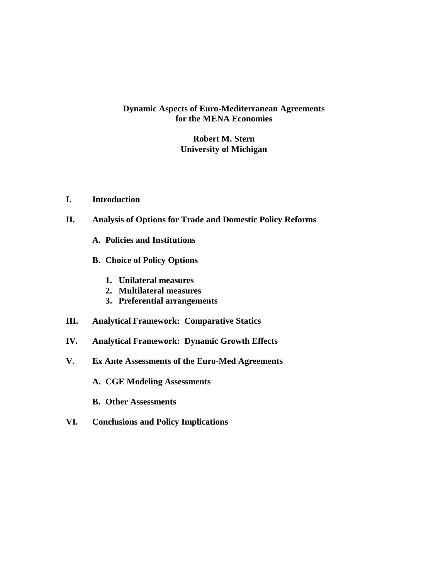# **Dynamic Aspects of Euro-Mediterranean Agreements for the MENA Economies**

# **Robert M. Stern University of Michigan**

# **I. Introduction**

- **II. Analysis of Options for Trade and Domestic Policy Reforms**
	- **A. Policies and Institutions**
	- **B. Choice of Policy Options**
		- **1. Unilateral measures**
		- **2. Multilateral measures**
		- **3. Preferential arrangements**
- **III. Analytical Framework: Comparative Statics**
- **IV. Analytical Framework: Dynamic Growth Effects**
- **V. Ex Ante Assessments of the Euro-Med Agreements**
	- **A. CGE Modeling Assessments**
	- **B. Other Assessments**
- **VI. Conclusions and Policy Implications**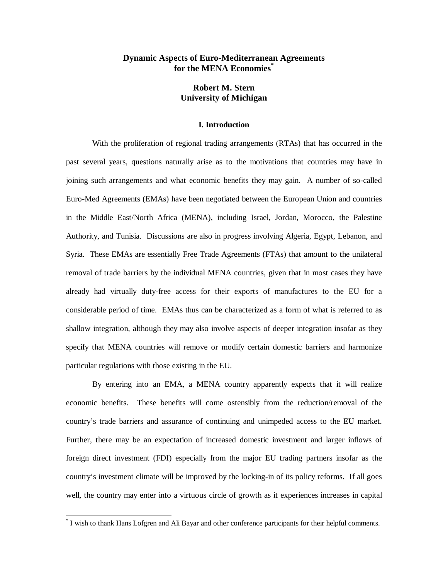# **Dynamic Aspects of Euro-Mediterranean Agreements for the MENA Economies\***

# **Robert M. Stern University of Michigan**

# **I. Introduction**

With the proliferation of regional trading arrangements (RTAs) that has occurred in the past several years, questions naturally arise as to the motivations that countries may have in joining such arrangements and what economic benefits they may gain. A number of so-called Euro-Med Agreements (EMAs) have been negotiated between the European Union and countries in the Middle East/North Africa (MENA), including Israel, Jordan, Morocco, the Palestine Authority, and Tunisia. Discussions are also in progress involving Algeria, Egypt, Lebanon, and Syria. These EMAs are essentially Free Trade Agreements (FTAs) that amount to the unilateral removal of trade barriers by the individual MENA countries, given that in most cases they have already had virtually duty-free access for their exports of manufactures to the EU for a considerable period of time. EMAs thus can be characterized as a form of what is referred to as shallow integration, although they may also involve aspects of deeper integration insofar as they specify that MENA countries will remove or modify certain domestic barriers and harmonize particular regulations with those existing in the EU.

By entering into an EMA, a MENA country apparently expects that it will realize economic benefits. These benefits will come ostensibly from the reduction/removal of the country's trade barriers and assurance of continuing and unimpeded access to the EU market. Further, there may be an expectation of increased domestic investment and larger inflows of foreign direct investment (FDI) especially from the major EU trading partners insofar as the country's investment climate will be improved by the locking-in of its policy reforms. If all goes well, the country may enter into a virtuous circle of growth as it experiences increases in capital

-

<sup>\*</sup> I wish to thank Hans Lofgren and Ali Bayar and other conference participants for their helpful comments.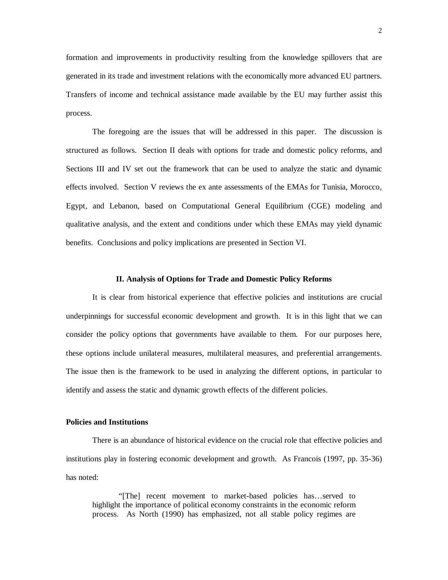formation and improvements in productivity resulting from the knowledge spillovers that are generated in its trade and investment relations with the economically more advanced EU partners. Transfers of income and technical assistance made available by the EU may further assist this process.

The foregoing are the issues that will be addressed in this paper. The discussion is structured as follows. Section II deals with options for trade and domestic policy reforms, and Sections III and IV set out the framework that can be used to analyze the static and dynamic effects involved. Section V reviews the ex ante assessments of the EMAs for Tunisia, Morocco, Egypt, and Lebanon, based on Computational General Equilibrium (CGE) modeling and qualitative analysis, and the extent and conditions under which these EMAs may yield dynamic benefits. Conclusions and policy implications are presented in Section VI.

# **II. Analysis of Options for Trade and Domestic Policy Reforms**

It is clear from historical experience that effective policies and institutions are crucial underpinnings for successful economic development and growth. It is in this light that we can consider the policy options that governments have available to them. For our purposes here, these options include unilateral measures, multilateral measures, and preferential arrangements. The issue then is the framework to be used in analyzing the different options, in particular to identify and assess the static and dynamic growth effects of the different policies.

#### **Policies and Institutions**

There is an abundance of historical evidence on the crucial role that effective policies and institutions play in fostering economic development and growth. As Francois (1997, pp. 35-36) has noted:

"[The] recent movement to market-based policies has… served to highlight the importance of political economy constraints in the economic reform process. As North (1990) has emphasized, not all stable policy regimes are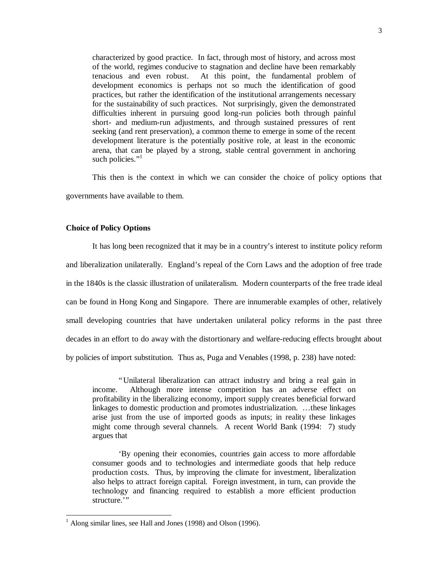characterized by good practice. In fact, through most of history, and across most of the world, regimes conducive to stagnation and decline have been remarkably tenacious and even robust. At this point, the fundamental problem of development economics is perhaps not so much the identification of good practices, but rather the identification of the institutional arrangements necessary for the sustainability of such practices. Not surprisingly, given the demonstrated difficulties inherent in pursuing good long-run policies both through painful short- and medium-run adjustments, and through sustained pressures of rent seeking (and rent preservation), a common theme to emerge in some of the recent development literature is the potentially positive role, at least in the economic arena, that can be played by a strong, stable central government in anchoring such policies."<sup>1</sup>

This then is the context in which we can consider the choice of policy options that governments have available to them.

## **Choice of Policy Options**

It has long been recognized that it may be in a country's interest to institute policy reform and liberalization unilaterally. England's repeal of the Corn Laws and the adoption of free trade in the 1840s is the classic illustration of unilateralism. Modern counterparts of the free trade ideal can be found in Hong Kong and Singapore. There are innumerable examples of other, relatively small developing countries that have undertaken unilateral policy reforms in the past three decades in an effort to do away with the distortionary and welfare-reducing effects brought about by policies of import substitution. Thus as, Puga and Venables (1998, p. 238) have noted:

"Unilateral liberalization can attract industry and bring a real gain in income. Although more intense competition has an adverse effect on profitability in the liberalizing economy, import supply creates beneficial forward linkages to domestic production and promotes industrialization. … these linkages arise just from the use of imported goods as inputs; in reality these linkages might come through several channels. A recent World Bank (1994: 7) study argues that

'By opening their economies, countries gain access to more affordable consumer goods and to technologies and intermediate goods that help reduce production costs. Thus, by improving the climate for investment, liberalization also helps to attract foreign capital. Foreign investment, in turn, can provide the technology and financing required to establish a more efficient production structure."

-

<sup>&</sup>lt;sup>1</sup> Along similar lines, see Hall and Jones (1998) and Olson (1996).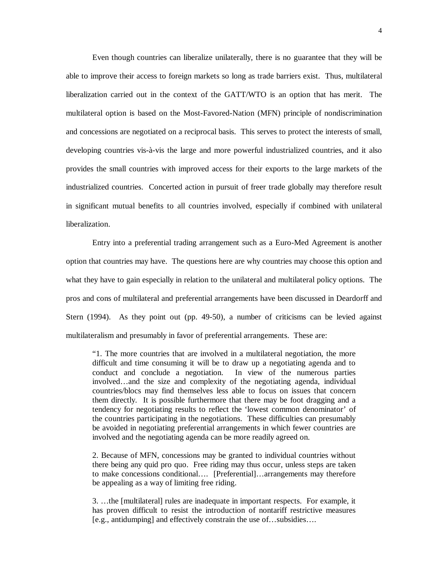Even though countries can liberalize unilaterally, there is no guarantee that they will be able to improve their access to foreign markets so long as trade barriers exist. Thus, multilateral liberalization carried out in the context of the GATT/WTO is an option that has merit. The multilateral option is based on the Most-Favored-Nation (MFN) principle of nondiscrimination and concessions are negotiated on a reciprocal basis. This serves to protect the interests of small, developing countries vis-à-vis the large and more powerful industrialized countries, and it also provides the small countries with improved access for their exports to the large markets of the industrialized countries. Concerted action in pursuit of freer trade globally may therefore result in significant mutual benefits to all countries involved, especially if combined with unilateral liberalization.

Entry into a preferential trading arrangement such as a Euro-Med Agreement is another option that countries may have. The questions here are why countries may choose this option and what they have to gain especially in relation to the unilateral and multilateral policy options. The pros and cons of multilateral and preferential arrangements have been discussed in Deardorff and Stern (1994). As they point out (pp. 49-50), a number of criticisms can be levied against multilateralism and presumably in favor of preferential arrangements. These are:

"1. The more countries that are involved in a multilateral negotiation, the more difficult and time consuming it will be to draw up a negotiating agenda and to conduct and conclude a negotiation. In view of the numerous parties involved… and the size and complexity of the negotiating agenda, individual countries/blocs may find themselves less able to focus on issues that concern them directly. It is possible furthermore that there may be foot dragging and a tendency for negotiating results to reflect the 'lowest common denominator' of the countries participating in the negotiations. These difficulties can presumably be avoided in negotiating preferential arrangements in which fewer countries are involved and the negotiating agenda can be more readily agreed on.

2. Because of MFN, concessions may be granted to individual countries without there being any quid pro quo. Free riding may thus occur, unless steps are taken to make concessions conditional… . [Preferential]… arrangements may therefore be appealing as a way of limiting free riding.

3. … the [multilateral] rules are inadequate in important respects. For example, it has proven difficult to resist the introduction of nontariff restrictive measures [e.g., antidumping] and effectively constrain the use of… subsidies… .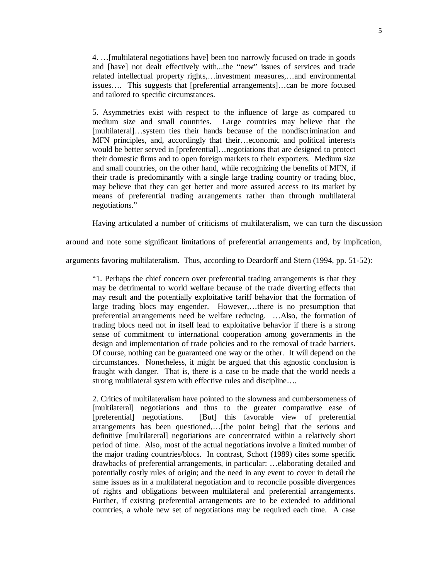4. … [multilateral negotiations have] been too narrowly focused on trade in goods and [have] not dealt effectively with...the "new" issues of services and trade related intellectual property rights,… investment measures,… and environmental issues… . This suggests that [preferential arrangements]… can be more focused and tailored to specific circumstances.

5. Asymmetries exist with respect to the influence of large as compared to medium size and small countries. Large countries may believe that the [multilateral]… system ties their hands because of the nondiscrimination and MFN principles, and, accordingly that their… economic and political interests would be better served in [preferential]… negotiations that are designed to protect their domestic firms and to open foreign markets to their exporters. Medium size and small countries, on the other hand, while recognizing the benefits of MFN, if their trade is predominantly with a single large trading country or trading bloc, may believe that they can get better and more assured access to its market by means of preferential trading arrangements rather than through multilateral negotiations."

Having articulated a number of criticisms of multilateralism, we can turn the discussion

around and note some significant limitations of preferential arrangements and, by implication,

arguments favoring multilateralism. Thus, according to Deardorff and Stern (1994, pp. 51-52):

"1. Perhaps the chief concern over preferential trading arrangements is that they may be detrimental to world welfare because of the trade diverting effects that may result and the potentially exploitative tariff behavior that the formation of large trading blocs may engender. However,… there is no presumption that preferential arrangements need be welfare reducing. … Also, the formation of trading blocs need not in itself lead to exploitative behavior if there is a strong sense of commitment to international cooperation among governments in the design and implementation of trade policies and to the removal of trade barriers. Of course, nothing can be guaranteed one way or the other. It will depend on the circumstances. Nonetheless, it might be argued that this agnostic conclusion is fraught with danger. That is, there is a case to be made that the world needs a strong multilateral system with effective rules and discipline… .

2. Critics of multilateralism have pointed to the slowness and cumbersomeness of [multilateral] negotiations and thus to the greater comparative ease of [preferential] negotiations. [But] this favorable view of preferential arrangements has been questioned,… [the point being] that the serious and definitive [multilateral] negotiations are concentrated within a relatively short period of time. Also, most of the actual negotiations involve a limited number of the major trading countries/blocs. In contrast, Schott (1989) cites some specific drawbacks of preferential arrangements, in particular: … elaborating detailed and potentially costly rules of origin; and the need in any event to cover in detail the same issues as in a multilateral negotiation and to reconcile possible divergences of rights and obligations between multilateral and preferential arrangements. Further, if existing preferential arrangements are to be extended to additional countries, a whole new set of negotiations may be required each time. A case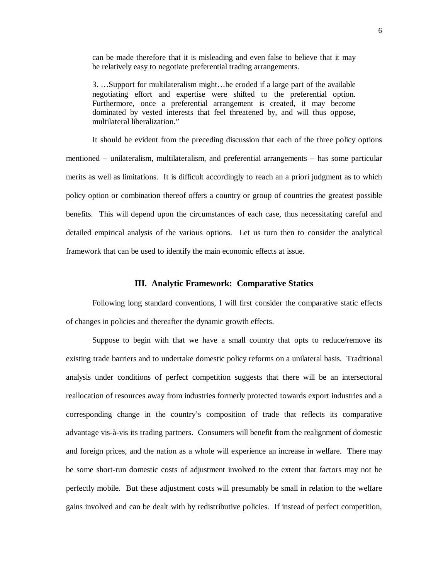can be made therefore that it is misleading and even false to believe that it may be relatively easy to negotiate preferential trading arrangements.

3. … Support for multilateralism might… be eroded if a large part of the available negotiating effort and expertise were shifted to the preferential option. Furthermore, once a preferential arrangement is created, it may become dominated by vested interests that feel threatened by, and will thus oppose, multilateral liberalization."

It should be evident from the preceding discussion that each of the three policy options mentioned – unilateralism, multilateralism, and preferential arrangements – has some particular merits as well as limitations. It is difficult accordingly to reach an a priori judgment as to which policy option or combination thereof offers a country or group of countries the greatest possible benefits. This will depend upon the circumstances of each case, thus necessitating careful and detailed empirical analysis of the various options. Let us turn then to consider the analytical framework that can be used to identify the main economic effects at issue.

## **III. Analytic Framework: Comparative Statics**

Following long standard conventions, I will first consider the comparative static effects of changes in policies and thereafter the dynamic growth effects.

Suppose to begin with that we have a small country that opts to reduce/remove its existing trade barriers and to undertake domestic policy reforms on a unilateral basis. Traditional analysis under conditions of perfect competition suggests that there will be an intersectoral reallocation of resources away from industries formerly protected towards export industries and a corresponding change in the country's composition of trade that reflects its comparative advantage vis-à-vis its trading partners. Consumers will benefit from the realignment of domestic and foreign prices, and the nation as a whole will experience an increase in welfare. There may be some short-run domestic costs of adjustment involved to the extent that factors may not be perfectly mobile. But these adjustment costs will presumably be small in relation to the welfare gains involved and can be dealt with by redistributive policies. If instead of perfect competition,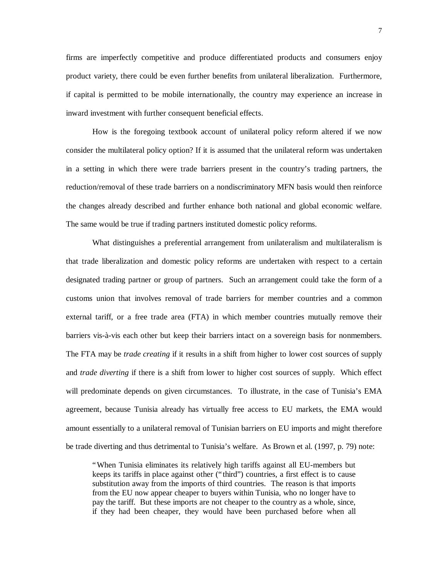firms are imperfectly competitive and produce differentiated products and consumers enjoy product variety, there could be even further benefits from unilateral liberalization. Furthermore, if capital is permitted to be mobile internationally, the country may experience an increase in inward investment with further consequent beneficial effects.

How is the foregoing textbook account of unilateral policy reform altered if we now consider the multilateral policy option? If it is assumed that the unilateral reform was undertaken in a setting in which there were trade barriers present in the country's trading partners, the reduction/removal of these trade barriers on a nondiscriminatory MFN basis would then reinforce the changes already described and further enhance both national and global economic welfare. The same would be true if trading partners instituted domestic policy reforms.

What distinguishes a preferential arrangement from unilateralism and multilateralism is that trade liberalization and domestic policy reforms are undertaken with respect to a certain designated trading partner or group of partners. Such an arrangement could take the form of a customs union that involves removal of trade barriers for member countries and a common external tariff, or a free trade area (FTA) in which member countries mutually remove their barriers vis-à-vis each other but keep their barriers intact on a sovereign basis for nonmembers. The FTA may be *trade creating* if it results in a shift from higher to lower cost sources of supply and *trade diverting* if there is a shift from lower to higher cost sources of supply. Which effect will predominate depends on given circumstances. To illustrate, in the case of Tunisia's EMA agreement, because Tunisia already has virtually free access to EU markets, the EMA would amount essentially to a unilateral removal of Tunisian barriers on EU imports and might therefore be trade diverting and thus detrimental to Tunisia's welfare. As Brown et al. (1997, p. 79) note:

"When Tunisia eliminates its relatively high tariffs against all EU-members but keeps its tariffs in place against other ("third") countries, a first effect is to cause substitution away from the imports of third countries. The reason is that imports from the EU now appear cheaper to buyers within Tunisia, who no longer have to pay the tariff. But these imports are not cheaper to the country as a whole, since, if they had been cheaper, they would have been purchased before when all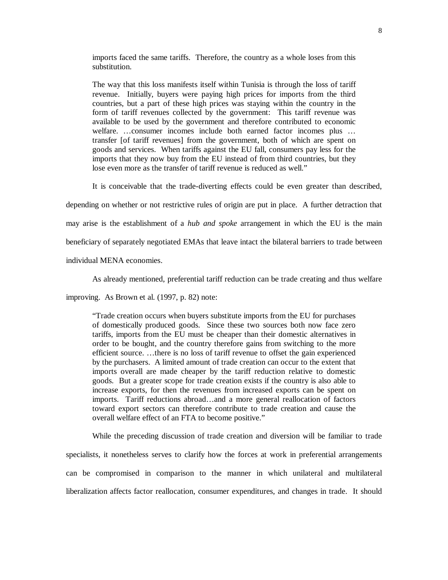imports faced the same tariffs. Therefore, the country as a whole loses from this substitution.

The way that this loss manifests itself within Tunisia is through the loss of tariff revenue. Initially, buyers were paying high prices for imports from the third countries, but a part of these high prices was staying within the country in the form of tariff revenues collected by the government: This tariff revenue was available to be used by the government and therefore contributed to economic welfare. … consumer incomes include both earned factor incomes plus … transfer [of tariff revenues] from the government, both of which are spent on goods and services. When tariffs against the EU fall, consumers pay less for the imports that they now buy from the EU instead of from third countries, but they lose even more as the transfer of tariff revenue is reduced as well."

It is conceivable that the trade-diverting effects could be even greater than described,

depending on whether or not restrictive rules of origin are put in place. A further detraction that

may arise is the establishment of a *hub and spoke* arrangement in which the EU is the main

beneficiary of separately negotiated EMAs that leave intact the bilateral barriers to trade between

individual MENA economies.

As already mentioned, preferential tariff reduction can be trade creating and thus welfare

improving. As Brown et al. (1997, p. 82) note:

"Trade creation occurs when buyers substitute imports from the EU for purchases of domestically produced goods. Since these two sources both now face zero tariffs, imports from the EU must be cheaper than their domestic alternatives in order to be bought, and the country therefore gains from switching to the more efficient source. … there is no loss of tariff revenue to offset the gain experienced by the purchasers. A limited amount of trade creation can occur to the extent that imports overall are made cheaper by the tariff reduction relative to domestic goods. But a greater scope for trade creation exists if the country is also able to increase exports, for then the revenues from increased exports can be spent on imports. Tariff reductions abroad… and a more general reallocation of factors toward export sectors can therefore contribute to trade creation and cause the overall welfare effect of an FTA to become positive."

While the preceding discussion of trade creation and diversion will be familiar to trade specialists, it nonetheless serves to clarify how the forces at work in preferential arrangements can be compromised in comparison to the manner in which unilateral and multilateral liberalization affects factor reallocation, consumer expenditures, and changes in trade. It should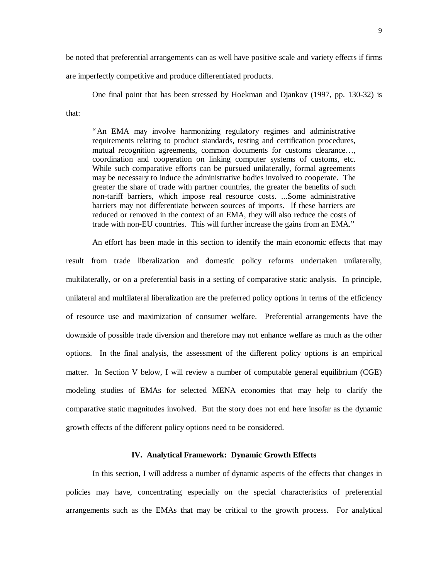be noted that preferential arrangements can as well have positive scale and variety effects if firms are imperfectly competitive and produce differentiated products.

One final point that has been stressed by Hoekman and Djankov (1997, pp. 130-32) is

that:

"An EMA may involve harmonizing regulatory regimes and administrative requirements relating to product standards, testing and certification procedures, mutual recognition agreements, common documents for customs clearance… , coordination and cooperation on linking computer systems of customs, etc. While such comparative efforts can be pursued unilaterally, formal agreements may be necessary to induce the administrative bodies involved to cooperate. The greater the share of trade with partner countries, the greater the benefits of such non-tariff barriers, which impose real resource costs. ...Some administrative barriers may not differentiate between sources of imports. If these barriers are reduced or removed in the context of an EMA, they will also reduce the costs of trade with non-EU countries. This will further increase the gains from an EMA."

An effort has been made in this section to identify the main economic effects that may result from trade liberalization and domestic policy reforms undertaken unilaterally, multilaterally, or on a preferential basis in a setting of comparative static analysis. In principle, unilateral and multilateral liberalization are the preferred policy options in terms of the efficiency of resource use and maximization of consumer welfare. Preferential arrangements have the downside of possible trade diversion and therefore may not enhance welfare as much as the other options. In the final analysis, the assessment of the different policy options is an empirical matter. In Section V below, I will review a number of computable general equilibrium (CGE) modeling studies of EMAs for selected MENA economies that may help to clarify the comparative static magnitudes involved. But the story does not end here insofar as the dynamic growth effects of the different policy options need to be considered.

# **IV. Analytical Framework: Dynamic Growth Effects**

In this section, I will address a number of dynamic aspects of the effects that changes in policies may have, concentrating especially on the special characteristics of preferential arrangements such as the EMAs that may be critical to the growth process. For analytical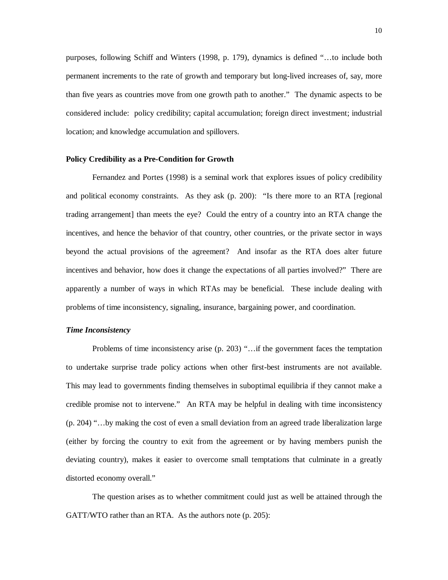purposes, following Schiff and Winters (1998, p. 179), dynamics is defined "… to include both permanent increments to the rate of growth and temporary but long-lived increases of, say, more than five years as countries move from one growth path to another." The dynamic aspects to be considered include: policy credibility; capital accumulation; foreign direct investment; industrial location; and knowledge accumulation and spillovers.

#### **Policy Credibility as a Pre-Condition for Growth**

Fernandez and Portes (1998) is a seminal work that explores issues of policy credibility and political economy constraints. As they ask (p. 200): "Is there more to an RTA [regional trading arrangement] than meets the eye? Could the entry of a country into an RTA change the incentives, and hence the behavior of that country, other countries, or the private sector in ways beyond the actual provisions of the agreement? And insofar as the RTA does alter future incentives and behavior, how does it change the expectations of all parties involved?" There are apparently a number of ways in which RTAs may be beneficial. These include dealing with problems of time inconsistency, signaling, insurance, bargaining power, and coordination.

#### *Time Inconsistency*

Problems of time inconsistency arise (p. 203) "… if the government faces the temptation to undertake surprise trade policy actions when other first-best instruments are not available. This may lead to governments finding themselves in suboptimal equilibria if they cannot make a credible promise not to intervene." An RTA may be helpful in dealing with time inconsistency (p. 204) "… by making the cost of even a small deviation from an agreed trade liberalization large (either by forcing the country to exit from the agreement or by having members punish the deviating country), makes it easier to overcome small temptations that culminate in a greatly distorted economy overall."

The question arises as to whether commitment could just as well be attained through the GATT/WTO rather than an RTA. As the authors note (p. 205):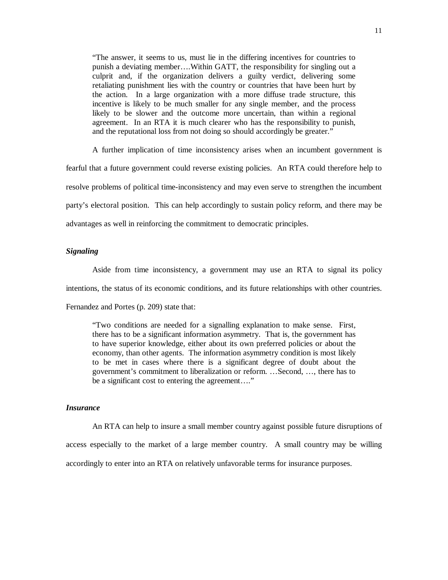"The answer, it seems to us, must lie in the differing incentives for countries to punish a deviating member… .Within GATT, the responsibility for singling out a culprit and, if the organization delivers a guilty verdict, delivering some retaliating punishment lies with the country or countries that have been hurt by the action. In a large organization with a more diffuse trade structure, this incentive is likely to be much smaller for any single member, and the process likely to be slower and the outcome more uncertain, than within a regional agreement. In an RTA it is much clearer who has the responsibility to punish, and the reputational loss from not doing so should accordingly be greater."

A further implication of time inconsistency arises when an incumbent government is fearful that a future government could reverse existing policies. An RTA could therefore help to resolve problems of political time-inconsistency and may even serve to strengthen the incumbent party's electoral position. This can help accordingly to sustain policy reform, and there may be advantages as well in reinforcing the commitment to democratic principles.

## *Signaling*

Aside from time inconsistency, a government may use an RTA to signal its policy intentions, the status of its economic conditions, and its future relationships with other countries. Fernandez and Portes (p. 209) state that:

"Two conditions are needed for a signalling explanation to make sense. First, there has to be a significant information asymmetry. That is, the government has to have superior knowledge, either about its own preferred policies or about the economy, than other agents. The information asymmetry condition is most likely to be met in cases where there is a significant degree of doubt about the government's commitment to liberalization or reform. … Second, … , there has to be a significant cost to entering the agreement...."

#### *Insurance*

An RTA can help to insure a small member country against possible future disruptions of access especially to the market of a large member country. A small country may be willing accordingly to enter into an RTA on relatively unfavorable terms for insurance purposes.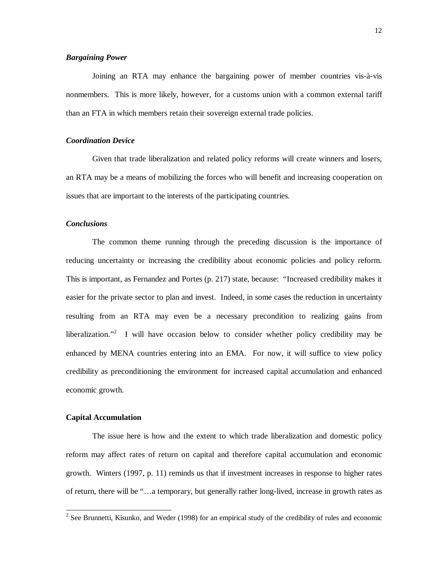## *Bargaining Power*

Joining an RTA may enhance the bargaining power of member countries vis-à-vis nonmembers. This is more likely, however, for a customs union with a common external tariff than an FTA in which members retain their sovereign external trade policies.

# *Coordination Device*

Given that trade liberalization and related policy reforms will create winners and losers, an RTA may be a means of mobilizing the forces who will benefit and increasing cooperation on issues that are important to the interests of the participating countries.

## *Conclusions*

The common theme running through the preceding discussion is the importance of reducing uncertainty or increasing the credibility about economic policies and policy reform. This is important, as Fernandez and Portes (p. 217) state, because: "Increased credibility makes it easier for the private sector to plan and invest. Indeed, in some cases the reduction in uncertainty resulting from an RTA may even be a necessary precondition to realizing gains from liberalization."<sup>2</sup> I will have occasion below to consider whether policy credibility may be enhanced by MENA countries entering into an EMA. For now, it will suffice to view policy credibility as preconditioning the environment for increased capital accumulation and enhanced economic growth.

#### **Capital Accumulation**

The issue here is how and the extent to which trade liberalization and domestic policy reform may affect rates of return on capital and therefore capital accumulation and economic growth. Winters (1997, p. 11) reminds us that if investment increases in response to higher rates of return, there will be "… a temporary, but generally rather long-lived, increase in growth rates as

<sup>&</sup>lt;sup>2</sup> See Brunnetti, Kisunko, and Weder (1998) for an empirical study of the credibility of rules and economic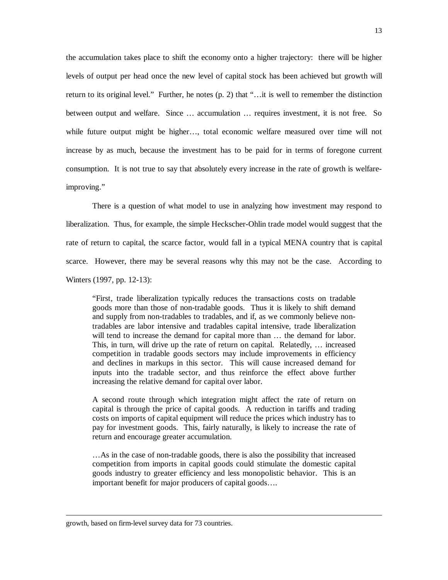the accumulation takes place to shift the economy onto a higher trajectory: there will be higher levels of output per head once the new level of capital stock has been achieved but growth will return to its original level." Further, he notes (p. 2) that "… it is well to remember the distinction between output and welfare. Since … accumulation … requires investment, it is not free. So while future output might be higher… , total economic welfare measured over time will not increase by as much, because the investment has to be paid for in terms of foregone current consumption. It is not true to say that absolutely every increase in the rate of growth is welfareimproving."

There is a question of what model to use in analyzing how investment may respond to liberalization. Thus, for example, the simple Heckscher-Ohlin trade model would suggest that the rate of return to capital, the scarce factor, would fall in a typical MENA country that is capital scarce. However, there may be several reasons why this may not be the case. According to Winters (1997, pp. 12-13):

"First, trade liberalization typically reduces the transactions costs on tradable goods more than those of non-tradable goods. Thus it is likely to shift demand and supply from non-tradables to tradables, and if, as we commonly believe nontradables are labor intensive and tradables capital intensive, trade liberalization will tend to increase the demand for capital more than ... the demand for labor. This, in turn, will drive up the rate of return on capital. Relatedly, … increased competition in tradable goods sectors may include improvements in efficiency and declines in markups in this sector. This will cause increased demand for inputs into the tradable sector, and thus reinforce the effect above further increasing the relative demand for capital over labor.

A second route through which integration might affect the rate of return on capital is through the price of capital goods. A reduction in tariffs and trading costs on imports of capital equipment will reduce the prices which industry has to pay for investment goods. This, fairly naturally, is likely to increase the rate of return and encourage greater accumulation.

… As in the case of non-tradable goods, there is also the possibility that increased competition from imports in capital goods could stimulate the domestic capital goods industry to greater efficiency and less monopolistic behavior. This is an important benefit for major producers of capital goods… .

-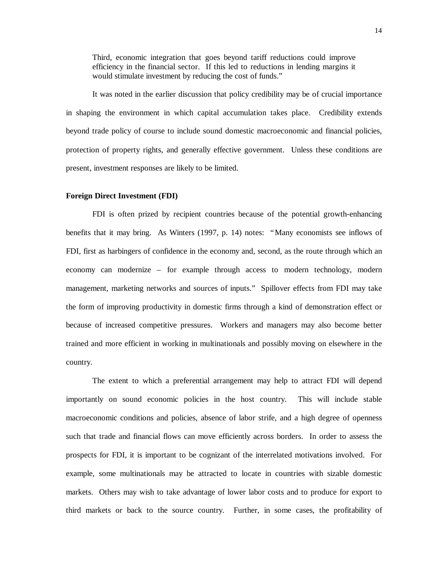Third, economic integration that goes beyond tariff reductions could improve efficiency in the financial sector. If this led to reductions in lending margins it would stimulate investment by reducing the cost of funds."

It was noted in the earlier discussion that policy credibility may be of crucial importance in shaping the environment in which capital accumulation takes place. Credibility extends beyond trade policy of course to include sound domestic macroeconomic and financial policies, protection of property rights, and generally effective government. Unless these conditions are present, investment responses are likely to be limited.

#### **Foreign Direct Investment (FDI)**

FDI is often prized by recipient countries because of the potential growth-enhancing benefits that it may bring. As Winters (1997, p. 14) notes: "Many economists see inflows of FDI, first as harbingers of confidence in the economy and, second, as the route through which an economy can modernize – for example through access to modern technology, modern management, marketing networks and sources of inputs." Spillover effects from FDI may take the form of improving productivity in domestic firms through a kind of demonstration effect or because of increased competitive pressures. Workers and managers may also become better trained and more efficient in working in multinationals and possibly moving on elsewhere in the country.

The extent to which a preferential arrangement may help to attract FDI will depend importantly on sound economic policies in the host country. This will include stable macroeconomic conditions and policies, absence of labor strife, and a high degree of openness such that trade and financial flows can move efficiently across borders. In order to assess the prospects for FDI, it is important to be cognizant of the interrelated motivations involved. For example, some multinationals may be attracted to locate in countries with sizable domestic markets. Others may wish to take advantage of lower labor costs and to produce for export to third markets or back to the source country. Further, in some cases, the profitability of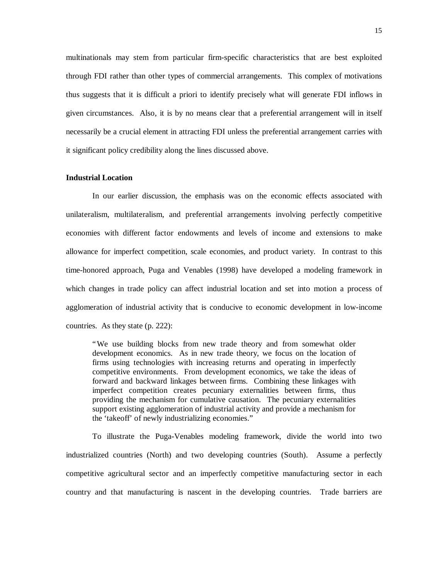multinationals may stem from particular firm-specific characteristics that are best exploited through FDI rather than other types of commercial arrangements. This complex of motivations thus suggests that it is difficult a priori to identify precisely what will generate FDI inflows in given circumstances. Also, it is by no means clear that a preferential arrangement will in itself necessarily be a crucial element in attracting FDI unless the preferential arrangement carries with it significant policy credibility along the lines discussed above.

## **Industrial Location**

In our earlier discussion, the emphasis was on the economic effects associated with unilateralism, multilateralism, and preferential arrangements involving perfectly competitive economies with different factor endowments and levels of income and extensions to make allowance for imperfect competition, scale economies, and product variety. In contrast to this time-honored approach, Puga and Venables (1998) have developed a modeling framework in which changes in trade policy can affect industrial location and set into motion a process of agglomeration of industrial activity that is conducive to economic development in low-income countries. As they state (p. 222):

"We use building blocks from new trade theory and from somewhat older development economics. As in new trade theory, we focus on the location of firms using technologies with increasing returns and operating in imperfectly competitive environments. From development economics, we take the ideas of forward and backward linkages between firms. Combining these linkages with imperfect competition creates pecuniary externalities between firms, thus providing the mechanism for cumulative causation. The pecuniary externalities support existing agglomeration of industrial activity and provide a mechanism for the 'takeoff' of newly industrializing economies."

To illustrate the Puga-Venables modeling framework, divide the world into two industrialized countries (North) and two developing countries (South). Assume a perfectly competitive agricultural sector and an imperfectly competitive manufacturing sector in each country and that manufacturing is nascent in the developing countries. Trade barriers are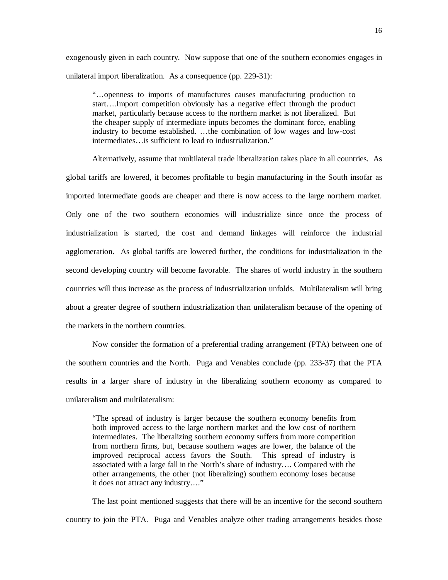exogenously given in each country. Now suppose that one of the southern economies engages in unilateral import liberalization. As a consequence (pp. 229-31):

"… openness to imports of manufactures causes manufacturing production to start… .Import competition obviously has a negative effect through the product market, particularly because access to the northern market is not liberalized. But the cheaper supply of intermediate inputs becomes the dominant force, enabling industry to become established. … the combination of low wages and low-cost intermediates… is sufficient to lead to industrialization."

Alternatively, assume that multilateral trade liberalization takes place in all countries. As global tariffs are lowered, it becomes profitable to begin manufacturing in the South insofar as imported intermediate goods are cheaper and there is now access to the large northern market. Only one of the two southern economies will industrialize since once the process of industrialization is started, the cost and demand linkages will reinforce the industrial agglomeration. As global tariffs are lowered further, the conditions for industrialization in the second developing country will become favorable. The shares of world industry in the southern countries will thus increase as the process of industrialization unfolds. Multilateralism will bring about a greater degree of southern industrialization than unilateralism because of the opening of the markets in the northern countries.

Now consider the formation of a preferential trading arrangement (PTA) between one of the southern countries and the North. Puga and Venables conclude (pp. 233-37) that the PTA results in a larger share of industry in the liberalizing southern economy as compared to unilateralism and multilateralism:

"The spread of industry is larger because the southern economy benefits from both improved access to the large northern market and the low cost of northern intermediates. The liberalizing southern economy suffers from more competition from northern firms, but, because southern wages are lower, the balance of the improved reciprocal access favors the South. This spread of industry is associated with a large fall in the North's share of industry… . Compared with the other arrangements, the other (not liberalizing) southern economy loses because it does not attract any industry… ."

The last point mentioned suggests that there will be an incentive for the second southern country to join the PTA. Puga and Venables analyze other trading arrangements besides those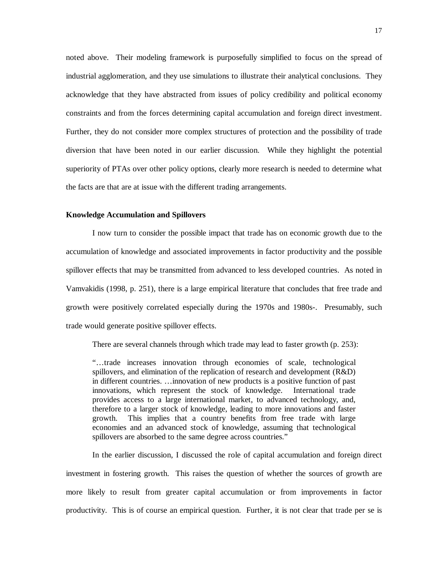noted above. Their modeling framework is purposefully simplified to focus on the spread of industrial agglomeration, and they use simulations to illustrate their analytical conclusions. They acknowledge that they have abstracted from issues of policy credibility and political economy constraints and from the forces determining capital accumulation and foreign direct investment. Further, they do not consider more complex structures of protection and the possibility of trade diversion that have been noted in our earlier discussion. While they highlight the potential superiority of PTAs over other policy options, clearly more research is needed to determine what the facts are that are at issue with the different trading arrangements.

#### **Knowledge Accumulation and Spillovers**

I now turn to consider the possible impact that trade has on economic growth due to the accumulation of knowledge and associated improvements in factor productivity and the possible spillover effects that may be transmitted from advanced to less developed countries. As noted in Vamvakidis (1998, p. 251), there is a large empirical literature that concludes that free trade and growth were positively correlated especially during the 1970s and 1980s-. Presumably, such trade would generate positive spillover effects.

There are several channels through which trade may lead to faster growth (p. 253):

"… trade increases innovation through economies of scale, technological spillovers, and elimination of the replication of research and development (R&D) in different countries. … innovation of new products is a positive function of past innovations, which represent the stock of knowledge. International trade provides access to a large international market, to advanced technology, and, therefore to a larger stock of knowledge, leading to more innovations and faster growth. This implies that a country benefits from free trade with large economies and an advanced stock of knowledge, assuming that technological spillovers are absorbed to the same degree across countries."

In the earlier discussion, I discussed the role of capital accumulation and foreign direct investment in fostering growth. This raises the question of whether the sources of growth are more likely to result from greater capital accumulation or from improvements in factor productivity. This is of course an empirical question. Further, it is not clear that trade per se is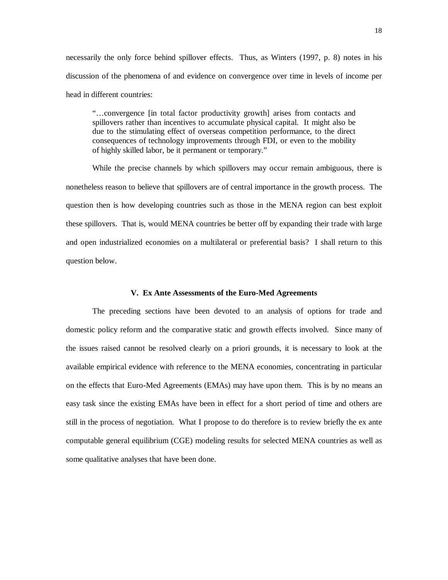necessarily the only force behind spillover effects. Thus, as Winters (1997, p. 8) notes in his discussion of the phenomena of and evidence on convergence over time in levels of income per head in different countries:

"… convergence [in total factor productivity growth] arises from contacts and spillovers rather than incentives to accumulate physical capital. It might also be due to the stimulating effect of overseas competition performance, to the direct consequences of technology improvements through FDI, or even to the mobility of highly skilled labor, be it permanent or temporary."

While the precise channels by which spillovers may occur remain ambiguous, there is nonetheless reason to believe that spillovers are of central importance in the growth process. The question then is how developing countries such as those in the MENA region can best exploit these spillovers. That is, would MENA countries be better off by expanding their trade with large and open industrialized economies on a multilateral or preferential basis? I shall return to this question below.

#### **V. Ex Ante Assessments of the Euro-Med Agreements**

The preceding sections have been devoted to an analysis of options for trade and domestic policy reform and the comparative static and growth effects involved. Since many of the issues raised cannot be resolved clearly on a priori grounds, it is necessary to look at the available empirical evidence with reference to the MENA economies, concentrating in particular on the effects that Euro-Med Agreements (EMAs) may have upon them. This is by no means an easy task since the existing EMAs have been in effect for a short period of time and others are still in the process of negotiation. What I propose to do therefore is to review briefly the ex ante computable general equilibrium (CGE) modeling results for selected MENA countries as well as some qualitative analyses that have been done.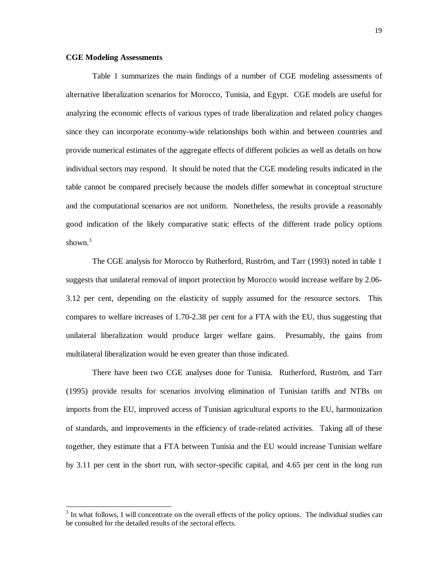#### **CGE Modeling Assessments**

-

Table 1 summarizes the main findings of a number of CGE modeling assessments of alternative liberalization scenarios for Morocco, Tunisia, and Egypt. CGE models are useful for analyzing the economic effects of various types of trade liberalization and related policy changes since they can incorporate economy-wide relationships both within and between countries and provide numerical estimates of the aggregate effects of different policies as well as details on how individual sectors may respond. It should be noted that the CGE modeling results indicated in the table cannot be compared precisely because the models differ somewhat in conceptual structure and the computational scenarios are not uniform. Nonetheless, the results provide a reasonably good indication of the likely comparative static effects of the different trade policy options shown.<sup>3</sup>

The CGE analysis for Morocco by Rutherford, Ruström, and Tarr (1993) noted in table 1 suggests that unilateral removal of import protection by Morocco would increase welfare by 2.06- 3.12 per cent, depending on the elasticity of supply assumed for the resource sectors. This compares to welfare increases of 1.70-2.38 per cent for a FTA with the EU, thus suggesting that unilateral liberalization would produce larger welfare gains. Presumably, the gains from multilateral liberalization would be even greater than those indicated.

There have been two CGE analyses done for Tunisia. Rutherford, Ruström, and Tarr (1995) provide results for scenarios involving elimination of Tunisian tariffs and NTBs on imports from the EU, improved access of Tunisian agricultural exports to the EU, harmonization of standards, and improvements in the efficiency of trade-related activities. Taking all of these together, they estimate that a FTA between Tunisia and the EU would increase Tunisian welfare by 3.11 per cent in the short run, with sector-specific capital, and 4.65 per cent in the long run

 $3$  In what follows, I will concentrate on the overall effects of the policy options. The individual studies can be consulted for the detailed results of the sectoral effects.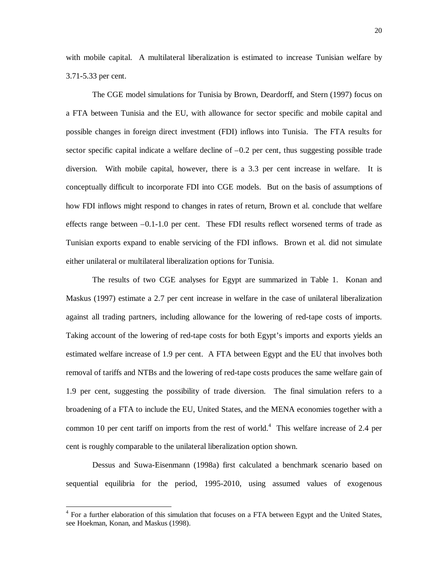with mobile capital. A multilateral liberalization is estimated to increase Tunisian welfare by 3.71-5.33 per cent.

The CGE model simulations for Tunisia by Brown, Deardorff, and Stern (1997) focus on a FTA between Tunisia and the EU, with allowance for sector specific and mobile capital and possible changes in foreign direct investment (FDI) inflows into Tunisia. The FTA results for sector specific capital indicate a welfare decline of  $-0.2$  per cent, thus suggesting possible trade diversion. With mobile capital, however, there is a 3.3 per cent increase in welfare. It is conceptually difficult to incorporate FDI into CGE models. But on the basis of assumptions of how FDI inflows might respond to changes in rates of return, Brown et al. conclude that welfare effects range between –0.1-1.0 per cent. These FDI results reflect worsened terms of trade as Tunisian exports expand to enable servicing of the FDI inflows. Brown et al. did not simulate either unilateral or multilateral liberalization options for Tunisia.

The results of two CGE analyses for Egypt are summarized in Table 1. Konan and Maskus (1997) estimate a 2.7 per cent increase in welfare in the case of unilateral liberalization against all trading partners, including allowance for the lowering of red-tape costs of imports. Taking account of the lowering of red-tape costs for both Egypt's imports and exports yields an estimated welfare increase of 1.9 per cent. A FTA between Egypt and the EU that involves both removal of tariffs and NTBs and the lowering of red-tape costs produces the same welfare gain of 1.9 per cent, suggesting the possibility of trade diversion. The final simulation refers to a broadening of a FTA to include the EU, United States, and the MENA economies together with a common 10 per cent tariff on imports from the rest of world.<sup>4</sup> This welfare increase of 2.4 per cent is roughly comparable to the unilateral liberalization option shown.

Dessus and Suwa-Eisenmann (1998a) first calculated a benchmark scenario based on sequential equilibria for the period, 1995-2010, using assumed values of exogenous

-

<sup>&</sup>lt;sup>4</sup> For a further elaboration of this simulation that focuses on a FTA between Egypt and the United States, see Hoekman, Konan, and Maskus (1998).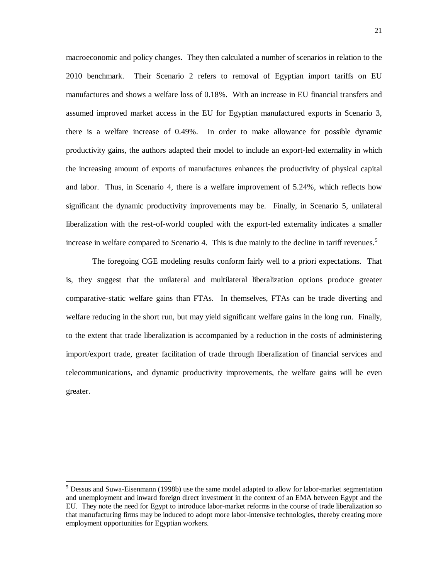macroeconomic and policy changes. They then calculated a number of scenarios in relation to the 2010 benchmark. Their Scenario 2 refers to removal of Egyptian import tariffs on EU manufactures and shows a welfare loss of 0.18%. With an increase in EU financial transfers and assumed improved market access in the EU for Egyptian manufactured exports in Scenario 3, there is a welfare increase of 0.49%. In order to make allowance for possible dynamic productivity gains, the authors adapted their model to include an export-led externality in which the increasing amount of exports of manufactures enhances the productivity of physical capital and labor. Thus, in Scenario 4, there is a welfare improvement of 5.24%, which reflects how significant the dynamic productivity improvements may be. Finally, in Scenario 5, unilateral liberalization with the rest-of-world coupled with the export-led externality indicates a smaller increase in welfare compared to Scenario 4. This is due mainly to the decline in tariff revenues.<sup>5</sup>

The foregoing CGE modeling results conform fairly well to a priori expectations. That is, they suggest that the unilateral and multilateral liberalization options produce greater comparative-static welfare gains than FTAs. In themselves, FTAs can be trade diverting and welfare reducing in the short run, but may yield significant welfare gains in the long run. Finally, to the extent that trade liberalization is accompanied by a reduction in the costs of administering import/export trade, greater facilitation of trade through liberalization of financial services and telecommunications, and dynamic productivity improvements, the welfare gains will be even greater.

-

<sup>&</sup>lt;sup>5</sup> Dessus and Suwa-Eisenmann (1998b) use the same model adapted to allow for labor-market segmentation and unemployment and inward foreign direct investment in the context of an EMA between Egypt and the EU. They note the need for Egypt to introduce labor-market reforms in the course of trade liberalization so that manufacturing firms may be induced to adopt more labor-intensive technologies, thereby creating more employment opportunities for Egyptian workers.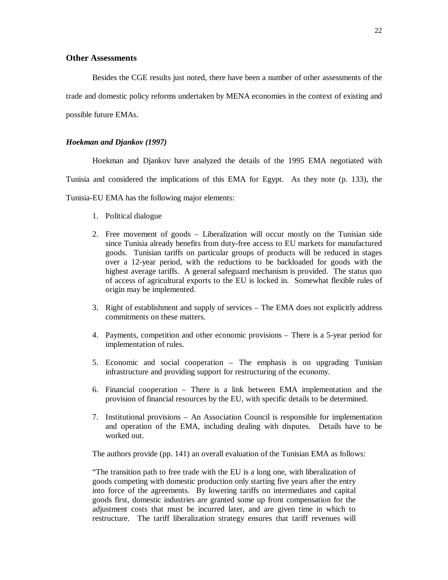# **Other Assessments**

Besides the CGE results just noted, there have been a number of other assessments of the trade and domestic policy reforms undertaken by MENA economies in the context of existing and possible future EMAs.

#### *Hoekman and Djankov (1997)*

Hoekman and Djankov have analyzed the details of the 1995 EMA negotiated with Tunisia and considered the implications of this EMA for Egypt. As they note (p. 133), the

Tunisia-EU EMA has the following major elements:

- 1. Political dialogue
- 2. Free movement of goods Liberalization will occur mostly on the Tunisian side since Tunisia already benefits from duty-free access to EU markets for manufactured goods. Tunisian tariffs on particular groups of products will be reduced in stages over a 12-year period, with the reductions to be backloaded for goods with the highest average tariffs. A general safeguard mechanism is provided. The status quo of access of agricultural exports to the EU is locked in. Somewhat flexible rules of origin may be implemented.
- 3. Right of establishment and supply of services The EMA does not explicitly address commitments on these matters.
- 4. Payments, competition and other economic provisions There is a 5-year period for implementation of rules.
- 5. Economic and social cooperation The emphasis is on upgrading Tunisian infrastructure and providing support for restructuring of the economy.
- 6. Financial cooperation There is a link between EMA implementation and the provision of financial resources by the EU, with specific details to be determined.
- 7. Institutional provisions An Association Council is responsible for implementation and operation of the EMA, including dealing with disputes. Details have to be worked out.

The authors provide (pp. 141) an overall evaluation of the Tunisian EMA as follows:

"The transition path to free trade with the EU is a long one, with liberalization of goods competing with domestic production only starting five years after the entry into force of the agreements. By lowering tariffs on intermediates and capital goods first, domestic industries are granted some up front compensation for the adjustment costs that must be incurred later, and are given time in which to restructure. The tariff liberalization strategy ensures that tariff revenues will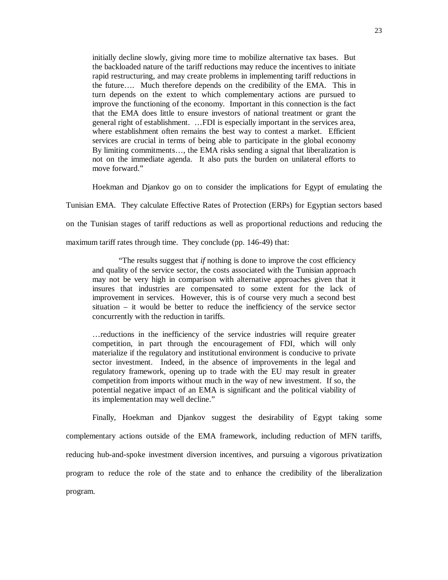initially decline slowly, giving more time to mobilize alternative tax bases. But the backloaded nature of the tariff reductions may reduce the incentives to initiate rapid restructuring, and may create problems in implementing tariff reductions in the future… . Much therefore depends on the credibility of the EMA. This in turn depends on the extent to which complementary actions are pursued to improve the functioning of the economy. Important in this connection is the fact that the EMA does little to ensure investors of national treatment or grant the general right of establishment. … FDI is especially important in the services area, where establishment often remains the best way to contest a market. Efficient services are crucial in terms of being able to participate in the global economy By limiting commitments… , the EMA risks sending a signal that liberalization is not on the immediate agenda. It also puts the burden on unilateral efforts to move forward."

Hoekman and Djankov go on to consider the implications for Egypt of emulating the

Tunisian EMA. They calculate Effective Rates of Protection (ERPs) for Egyptian sectors based

on the Tunisian stages of tariff reductions as well as proportional reductions and reducing the

maximum tariff rates through time. They conclude (pp. 146-49) that:

"The results suggest that *if* nothing is done to improve the cost efficiency and quality of the service sector, the costs associated with the Tunisian approach may not be very high in comparison with alternative approaches given that it insures that industries are compensated to some extent for the lack of improvement in services. However, this is of course very much a second best situation – it would be better to reduce the inefficiency of the service sector concurrently with the reduction in tariffs.

… reductions in the inefficiency of the service industries will require greater competition, in part through the encouragement of FDI, which will only materialize if the regulatory and institutional environment is conducive to private sector investment. Indeed, in the absence of improvements in the legal and regulatory framework, opening up to trade with the EU may result in greater competition from imports without much in the way of new investment. If so, the potential negative impact of an EMA is significant and the political viability of its implementation may well decline."

Finally, Hoekman and Djankov suggest the desirability of Egypt taking some complementary actions outside of the EMA framework, including reduction of MFN tariffs, reducing hub-and-spoke investment diversion incentives, and pursuing a vigorous privatization program to reduce the role of the state and to enhance the credibility of the liberalization program.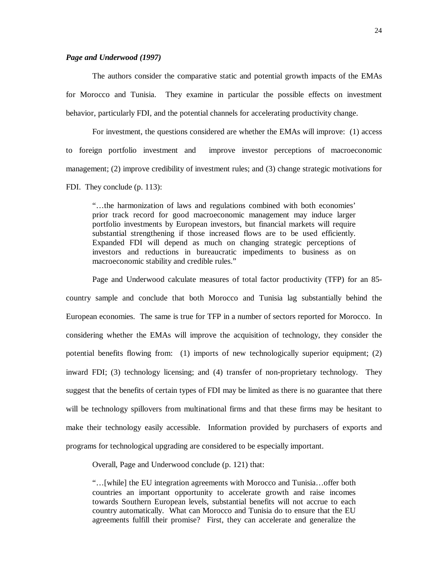#### *Page and Underwood (1997)*

The authors consider the comparative static and potential growth impacts of the EMAs for Morocco and Tunisia. They examine in particular the possible effects on investment behavior, particularly FDI, and the potential channels for accelerating productivity change.

For investment, the questions considered are whether the EMAs will improve: (1) access to foreign portfolio investment and improve investor perceptions of macroeconomic management; (2) improve credibility of investment rules; and (3) change strategic motivations for FDI. They conclude (p. 113):

"… the harmonization of laws and regulations combined with both economies' prior track record for good macroeconomic management may induce larger portfolio investments by European investors, but financial markets will require substantial strengthening if those increased flows are to be used efficiently. Expanded FDI will depend as much on changing strategic perceptions of investors and reductions in bureaucratic impediments to business as on macroeconomic stability and credible rules."

Page and Underwood calculate measures of total factor productivity (TFP) for an 85 country sample and conclude that both Morocco and Tunisia lag substantially behind the European economies. The same is true for TFP in a number of sectors reported for Morocco. In considering whether the EMAs will improve the acquisition of technology, they consider the potential benefits flowing from: (1) imports of new technologically superior equipment; (2) inward FDI; (3) technology licensing; and (4) transfer of non-proprietary technology. They suggest that the benefits of certain types of FDI may be limited as there is no guarantee that there will be technology spillovers from multinational firms and that these firms may be hesitant to make their technology easily accessible. Information provided by purchasers of exports and programs for technological upgrading are considered to be especially important.

Overall, Page and Underwood conclude (p. 121) that:

"… [while] the EU integration agreements with Morocco and Tunisia… offer both countries an important opportunity to accelerate growth and raise incomes towards Southern European levels, substantial benefits will not accrue to each country automatically. What can Morocco and Tunisia do to ensure that the EU agreements fulfill their promise? First, they can accelerate and generalize the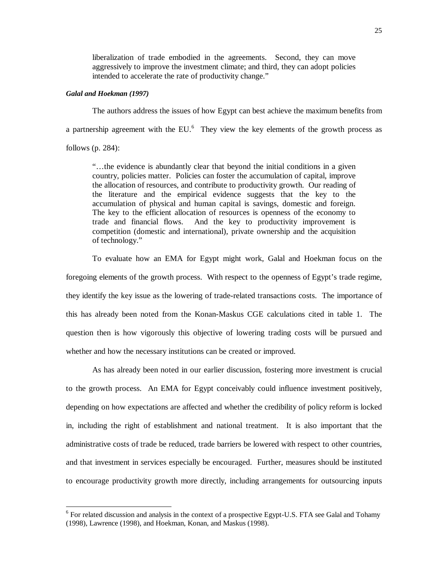liberalization of trade embodied in the agreements. Second, they can move aggressively to improve the investment climate; and third, they can adopt policies intended to accelerate the rate of productivity change."

#### *Galal and Hoekman (1997)*

-

The authors address the issues of how Egypt can best achieve the maximum benefits from a partnership agreement with the EU.<sup>6</sup> They view the key elements of the growth process as follows (p. 284):

"… the evidence is abundantly clear that beyond the initial conditions in a given country, policies matter. Policies can foster the accumulation of capital, improve the allocation of resources, and contribute to productivity growth. Our reading of the literature and the empirical evidence suggests that the key to the accumulation of physical and human capital is savings, domestic and foreign. The key to the efficient allocation of resources is openness of the economy to trade and financial flows. And the key to productivity improvement is competition (domestic and international), private ownership and the acquisition of technology."

To evaluate how an EMA for Egypt might work, Galal and Hoekman focus on the foregoing elements of the growth process. With respect to the openness of Egypt's trade regime, they identify the key issue as the lowering of trade-related transactions costs. The importance of this has already been noted from the Konan-Maskus CGE calculations cited in table 1. The question then is how vigorously this objective of lowering trading costs will be pursued and whether and how the necessary institutions can be created or improved.

As has already been noted in our earlier discussion, fostering more investment is crucial to the growth process. An EMA for Egypt conceivably could influence investment positively, depending on how expectations are affected and whether the credibility of policy reform is locked in, including the right of establishment and national treatment. It is also important that the administrative costs of trade be reduced, trade barriers be lowered with respect to other countries, and that investment in services especially be encouraged. Further, measures should be instituted to encourage productivity growth more directly, including arrangements for outsourcing inputs

<sup>&</sup>lt;sup>6</sup> For related discussion and analysis in the context of a prospective Egypt-U.S. FTA see Galal and Tohamy (1998), Lawrence (1998), and Hoekman, Konan, and Maskus (1998).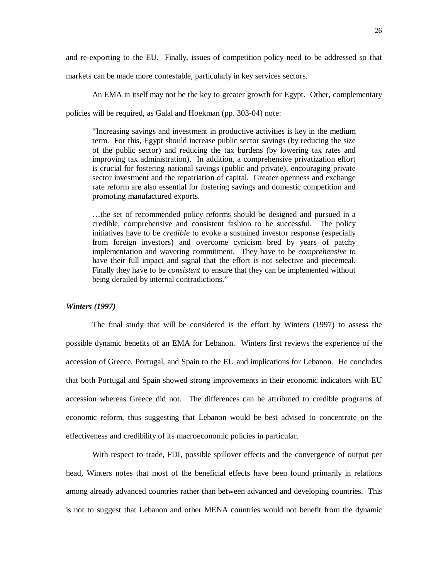and re-exporting to the EU. Finally, issues of competition policy need to be addressed so that

markets can be made more contestable, particularly in key services sectors.

An EMA in itself may not be the key to greater growth for Egypt. Other, complementary policies will be required, as Galal and Hoekman (pp. 303-04) note:

"Increasing savings and investment in productive activities is key in the medium term. For this, Egypt should increase public sector savings (by reducing the size of the public sector) and reducing the tax burdens (by lowering tax rates and improving tax administration). In addition, a comprehensive privatization effort is crucial for fostering national savings (public and private), encouraging private sector investment and the repatriation of capital. Greater openness and exchange rate reform are also essential for fostering savings and domestic competition and promoting manufactured exports.

… the set of recommended policy reforms should be designed and pursued in a credible, comprehensive and consistent fashion to be successful. The policy initiatives have to be *credible* to evoke a sustained investor response (especially from foreign investors) and overcome cynicism bred by years of patchy implementation and wavering commitment. They have to be *comprehensive* to have their full impact and signal that the effort is not selective and piecemeal. Finally they have to be *consistent* to ensure that they can be implemented without being derailed by internal contradictions."

## *Winters (1997)*

The final study that will be considered is the effort by Winters (1997) to assess the possible dynamic benefits of an EMA for Lebanon. Winters first reviews the experience of the accession of Greece, Portugal, and Spain to the EU and implications for Lebanon. He concludes that both Portugal and Spain showed strong improvements in their economic indicators with EU accession whereas Greece did not. The differences can be attributed to credible programs of economic reform, thus suggesting that Lebanon would be best advised to concentrate on the effectiveness and credibility of its macroeconomic policies in particular.

With respect to trade, FDI, possible spillover effects and the convergence of output per head, Winters notes that most of the beneficial effects have been found primarily in relations among already advanced countries rather than between advanced and developing countries. This is not to suggest that Lebanon and other MENA countries would not benefit from the dynamic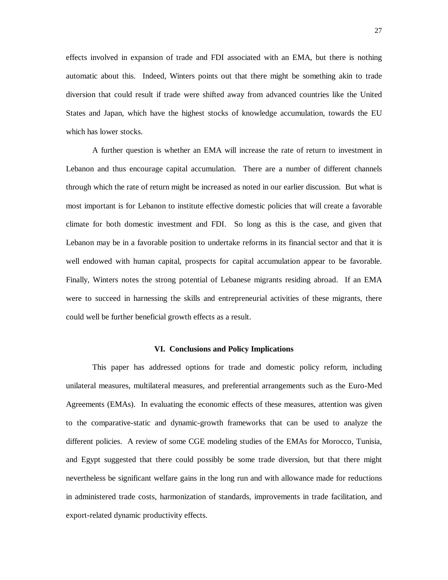effects involved in expansion of trade and FDI associated with an EMA, but there is nothing automatic about this. Indeed, Winters points out that there might be something akin to trade diversion that could result if trade were shifted away from advanced countries like the United States and Japan, which have the highest stocks of knowledge accumulation, towards the EU which has lower stocks.

A further question is whether an EMA will increase the rate of return to investment in Lebanon and thus encourage capital accumulation. There are a number of different channels through which the rate of return might be increased as noted in our earlier discussion. But what is most important is for Lebanon to institute effective domestic policies that will create a favorable climate for both domestic investment and FDI. So long as this is the case, and given that Lebanon may be in a favorable position to undertake reforms in its financial sector and that it is well endowed with human capital, prospects for capital accumulation appear to be favorable. Finally, Winters notes the strong potential of Lebanese migrants residing abroad. If an EMA were to succeed in harnessing the skills and entrepreneurial activities of these migrants, there could well be further beneficial growth effects as a result.

#### **VI. Conclusions and Policy Implications**

This paper has addressed options for trade and domestic policy reform, including unilateral measures, multilateral measures, and preferential arrangements such as the Euro-Med Agreements (EMAs). In evaluating the economic effects of these measures, attention was given to the comparative-static and dynamic-growth frameworks that can be used to analyze the different policies. A review of some CGE modeling studies of the EMAs for Morocco, Tunisia, and Egypt suggested that there could possibly be some trade diversion, but that there might nevertheless be significant welfare gains in the long run and with allowance made for reductions in administered trade costs, harmonization of standards, improvements in trade facilitation, and export-related dynamic productivity effects.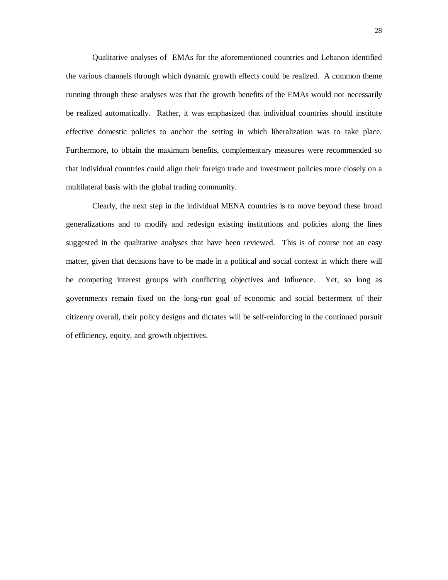Qualitative analyses of EMAs for the aforementioned countries and Lebanon identified the various channels through which dynamic growth effects could be realized. A common theme running through these analyses was that the growth benefits of the EMAs would not necessarily be realized automatically. Rather, it was emphasized that individual countries should institute effective domestic policies to anchor the setting in which liberalization was to take place. Furthermore, to obtain the maximum benefits, complementary measures were recommended so that individual countries could align their foreign trade and investment policies more closely on a multilateral basis with the global trading community.

Clearly, the next step in the individual MENA countries is to move beyond these broad generalizations and to modify and redesign existing institutions and policies along the lines suggested in the qualitative analyses that have been reviewed. This is of course not an easy matter, given that decisions have to be made in a political and social context in which there will be competing interest groups with conflicting objectives and influence. Yet, so long as governments remain fixed on the long-run goal of economic and social betterment of their citizenry overall, their policy designs and dictates will be self-reinforcing in the continued pursuit of efficiency, equity, and growth objectives.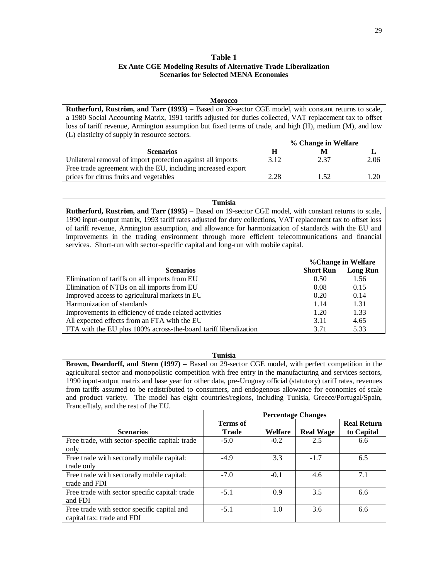## **Table 1 Ex Ante CGE Modeling Results of Alternative Trade Liberalization Scenarios for Selected MENA Economies**

| <b>Morocco</b>                                                                                              |                     |      |      |
|-------------------------------------------------------------------------------------------------------------|---------------------|------|------|
| <b>Rutherford, Ruström, and Tarr (1993)</b> – Based on 39-sector CGE model, with constant returns to scale, |                     |      |      |
| a 1980 Social Accounting Matrix, 1991 tariffs adjusted for duties collected, VAT replacement tax to offset  |                     |      |      |
| loss of tariff revenue, Armington assumption but fixed terms of trade, and high (H), medium (M), and low    |                     |      |      |
| (L) elasticity of supply in resource sectors.                                                               |                     |      |      |
|                                                                                                             | % Change in Welfare |      |      |
| <b>Scenarios</b>                                                                                            | H                   | M    |      |
| Unilateral removal of import protection against all imports                                                 | 3.12                | 2.37 | 2.06 |
| Free trade agreement with the EU, including increased export                                                |                     |      |      |
| prices for citrus fruits and vegetables                                                                     | 2.28                | 1.52 | 120  |

**Tunisia**

**Rutherford, Ruström, and Tarr (1995)** – Based on 19-sector CGE model, with constant returns to scale, 1990 input-output matrix, 1993 tariff rates adjusted for duty collections, VAT replacement tax to offset loss of tariff revenue, Armington assumption, and allowance for harmonization of standards with the EU and improvements in the trading environment through more efficient telecommunications and financial services. Short-run with sector-specific capital and long-run with mobile capital.

|                                                                  | <b>%Change in Welfare</b> |                 |
|------------------------------------------------------------------|---------------------------|-----------------|
| <b>Scenarios</b>                                                 | <b>Short Run</b>          | <b>Long Run</b> |
| Elimination of tariffs on all imports from EU                    | 0.50                      | 1.56            |
| Elimination of NTBs on all imports from EU                       | 0.08                      | 0.15            |
| Improved access to agricultural markets in EU                    | 0.20                      | 0.14            |
| Harmonization of standards                                       | 1.14                      | 1.31            |
| Improvements in efficiency of trade related activities           | 1.20                      | 1.33            |
| All expected effects from an FTA with the EU                     | 3.11                      | 4.65            |
| FTA with the EU plus 100% across-the-board tariff liberalization | 3.71                      | 5.33            |

**Tunisia Brown, Deardorff, and Stern (1997)** – Based on 29-sector CGE model, with perfect competition in the agricultural sector and monopolistic competition with free entry in the manufacturing and services sectors, 1990 input-output matrix and base year for other data, pre-Uruguay official (statutory) tariff rates, revenues from tariffs assumed to be redistributed to consumers, and endogenous allowance for economies of scale and product variety. The model has eight countries/regions, including Tunisia, Greece/Portugal/Spain, France/Italy, and the rest of the EU.

|                                                 | <b>Percentage Changes</b> |         |                  |                                  |
|-------------------------------------------------|---------------------------|---------|------------------|----------------------------------|
| <b>Scenarios</b>                                | <b>Terms of</b><br>Trade  | Welfare | <b>Real Wage</b> | <b>Real Return</b><br>to Capital |
|                                                 |                           |         |                  |                                  |
| Free trade, with sector-specific capital: trade | $-5.0$                    | $-0.2$  | 2.5              | 6.6                              |
| only                                            |                           |         |                  |                                  |
| Free trade with sectorally mobile capital:      | $-4.9$                    | 3.3     | $-1.7$           | 6.5                              |
| trade only                                      |                           |         |                  |                                  |
| Free trade with sectorally mobile capital:      | $-7.0$                    | $-0.1$  | 4.6              | 7.1                              |
| trade and FDI                                   |                           |         |                  |                                  |
| Free trade with sector specific capital: trade  | $-5.1$                    | 0.9     | 3.5              | 6.6                              |
| and FDI                                         |                           |         |                  |                                  |
| Free trade with sector specific capital and     | $-5.1$                    | 1.0     | 3.6              | 6.6                              |
| capital tax: trade and FDI                      |                           |         |                  |                                  |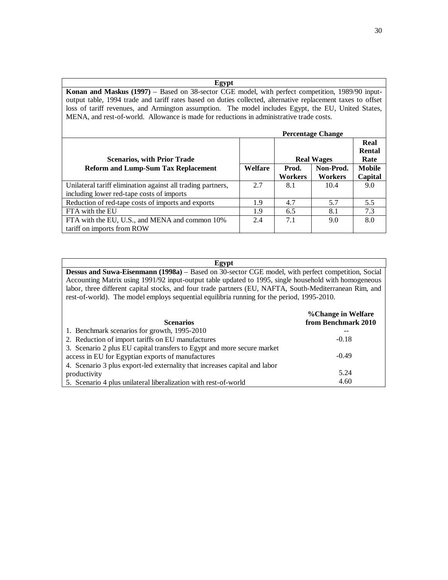# **Egypt**

**Konan and Maskus (1997)** – Based on 38-sector CGE model, with perfect competition, 1989/90 inputoutput table, 1994 trade and tariff rates based on duties collected, alternative replacement taxes to offset loss of tariff revenues, and Armington assumption. The model includes Egypt, the EU, United States, MENA, and rest-of-world. Allowance is made for reductions in administrative trade costs.

|                                                             | <b>Percentage Change</b> |                   |                             |                          |
|-------------------------------------------------------------|--------------------------|-------------------|-----------------------------|--------------------------|
| <b>Scenarios, with Prior Trade</b>                          |                          | <b>Real Wages</b> |                             | Real<br>Rental<br>Rate   |
| <b>Reform and Lump-Sum Tax Replacement</b>                  | Welfare                  | Prod.<br>Workers  | Non-Prod.<br><b>Workers</b> | <b>Mobile</b><br>Capital |
|                                                             |                          |                   |                             |                          |
| Unilateral tariff elimination against all trading partners, | 2.7                      | 8.1               | 10.4                        | 9.0                      |
| including lower red-tape costs of imports                   |                          |                   |                             |                          |
| Reduction of red-tape costs of imports and exports          | 1.9                      | 4.7               | 5.7                         | 5.5                      |
| FTA with the EU                                             | 1.9                      | 6.5               | 8.1                         | 7.3                      |
| FTA with the EU, U.S., and MENA and common 10%              | 2.4                      | 7.1               | 9.0                         | 8.0                      |
| tariff on imports from ROW                                  |                          |                   |                             |                          |

| Egypt                                                                                                     |                     |  |
|-----------------------------------------------------------------------------------------------------------|---------------------|--|
| <b>Dessus and Suwa-Eisenmann (1998a)</b> – Based on 30-sector CGE model, with perfect competition, Social |                     |  |
| Accounting Matrix using 1991/92 input-output table updated to 1995, single household with homogeneous     |                     |  |
| labor, three different capital stocks, and four trade partners (EU, NAFTA, South-Mediterranean Rim, and   |                     |  |
| rest-of-world). The model employs sequential equilibria running for the period, 1995-2010.                |                     |  |
|                                                                                                           |                     |  |
|                                                                                                           | %Change in Welfare  |  |
| <b>Scenarios</b>                                                                                          | from Benchmark 2010 |  |
| 1. Benchmark scenarios for growth, 1995-2010                                                              |                     |  |
| 2. Reduction of import tariffs on EU manufactures                                                         | $-0.18$             |  |
| 3. Scenario 2 plus EU capital transfers to Egypt and more secure market                                   |                     |  |
| access in EU for Egyptian exports of manufactures                                                         | $-0.49$             |  |
| 4. Scenario 3 plus export-led externality that increases capital and labor                                |                     |  |
| productivity                                                                                              | 5.24                |  |
| 5. Scenario 4 plus unilateral liberalization with rest-of-world                                           | 4.60                |  |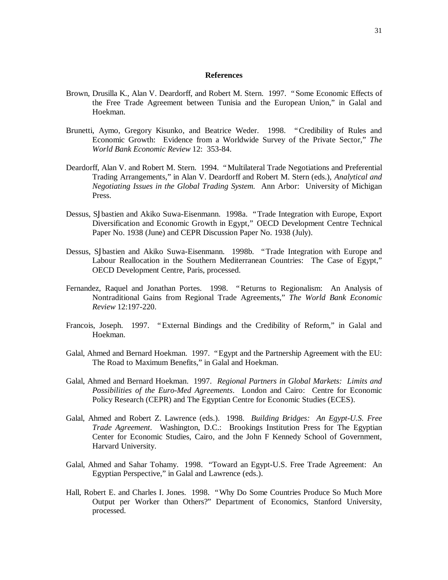#### **References**

- Brown, Drusilla K., Alan V. Deardorff, and Robert M. Stern. 1997. "Some Economic Effects of the Free Trade Agreement between Tunisia and the European Union," in Galal and Hoekman.
- Brunetti, Aymo, Gregory Kisunko, and Beatrice Weder. 1998. "Credibility of Rules and Economic Growth: Evidence from a Worldwide Survey of the Private Sector," *The World Bank Economic Review* 12: 353-84.
- Deardorff, Alan V. and Robert M. Stern. 1994. "Multilateral Trade Negotiations and Preferential Trading Arrangements," in Alan V. Deardorff and Robert M. Stern (eds.), *Analytical and Negotiating Issues in the Global Trading System*. Ann Arbor: University of Michigan Press.
- Dessus, SJbastien and Akiko Suwa-Eisenmann. 1998a. "Trade Integration with Europe, Export Diversification and Economic Growth in Egypt," OECD Development Centre Technical Paper No. 1938 (June) and CEPR Discussion Paper No. 1938 (July).
- Dessus, SJbastien and Akiko Suwa-Eisenmann. 1998b. "Trade Integration with Europe and Labour Reallocation in the Southern Mediterranean Countries: The Case of Egypt," OECD Development Centre, Paris, processed.
- Fernandez, Raquel and Jonathan Portes. 1998. "Returns to Regionalism: An Analysis of Nontraditional Gains from Regional Trade Agreements," *The World Bank Economic Review* 12:197-220.
- Francois, Joseph. 1997. "External Bindings and the Credibility of Reform," in Galal and Hoekman.
- Galal, Ahmed and Bernard Hoekman. 1997. "Egypt and the Partnership Agreement with the EU: The Road to Maximum Benefits," in Galal and Hoekman.
- Galal, Ahmed and Bernard Hoekman. 1997. *Regional Partners in Global Markets: Limits and Possibilities of the Euro-Med Agreements*. London and Cairo: Centre for Economic Policy Research (CEPR) and The Egyptian Centre for Economic Studies (ECES).
- Galal, Ahmed and Robert Z. Lawrence (eds.). 1998. *Building Bridges: An Egypt-U.S. Free Trade Agreement*. Washington, D.C.: Brookings Institution Press for The Egyptian Center for Economic Studies, Cairo, and the John F Kennedy School of Government, Harvard University.
- Galal, Ahmed and Sahar Tohamy. 1998. "Toward an Egypt-U.S. Free Trade Agreement: An Egyptian Perspective," in Galal and Lawrence (eds.).
- Hall, Robert E. and Charles I. Jones. 1998. "Why Do Some Countries Produce So Much More Output per Worker than Others?" Department of Economics, Stanford University, processed.